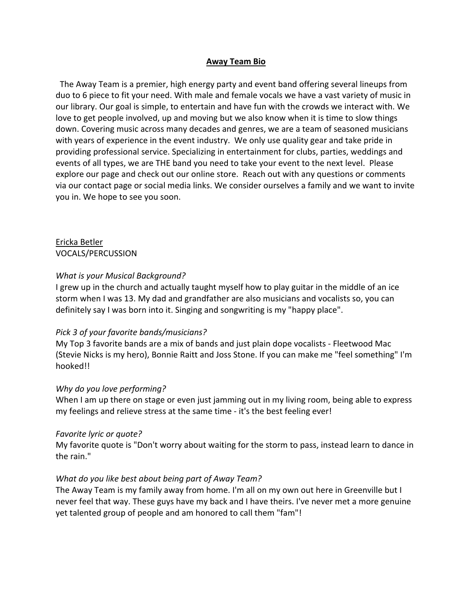## **Away Team Bio**

 The Away Team is a premier, high energy party and event band offering several lineups from duo to 6 piece to fit your need. With male and female vocals we have a vast variety of music in our library. Our goal is simple, to entertain and have fun with the crowds we interact with. We love to get people involved, up and moving but we also know when it is time to slow things down. Covering music across many decades and genres, we are a team of seasoned musicians with years of experience in the event industry. We only use quality gear and take pride in providing professional service. Specializing in entertainment for clubs, parties, weddings and events of all types, we are THE band you need to take your event to the next level. Please explore our page and check out our online store. Reach out with any questions or comments via our contact page or social media links. We consider ourselves a family and we want to invite you in. We hope to see you soon.

Ericka Betler VOCALS/PERCUSSION

#### *What is your Musical Background?*

I grew up in the church and actually taught myself how to play guitar in the middle of an ice storm when I was 13. My dad and grandfather are also musicians and vocalists so, you can definitely say I was born into it. Singing and songwriting is my "happy place".

#### *Pick 3 of your favorite bands/musicians?*

My Top 3 favorite bands are a mix of bands and just plain dope vocalists - Fleetwood Mac (Stevie Nicks is my hero), Bonnie Raitt and Joss Stone. If you can make me "feel something" I'm hooked!!

#### *Why do you love performing?*

When I am up there on stage or even just jamming out in my living room, being able to express my feelings and relieve stress at the same time - it's the best feeling ever!

#### *Favorite lyric or quote?*

My favorite quote is "Don't worry about waiting for the storm to pass, instead learn to dance in the rain."

#### *What do you like best about being part of Away Team?*

The Away Team is my family away from home. I'm all on my own out here in Greenville but I never feel that way. These guys have my back and I have theirs. I've never met a more genuine yet talented group of people and am honored to call them "fam"!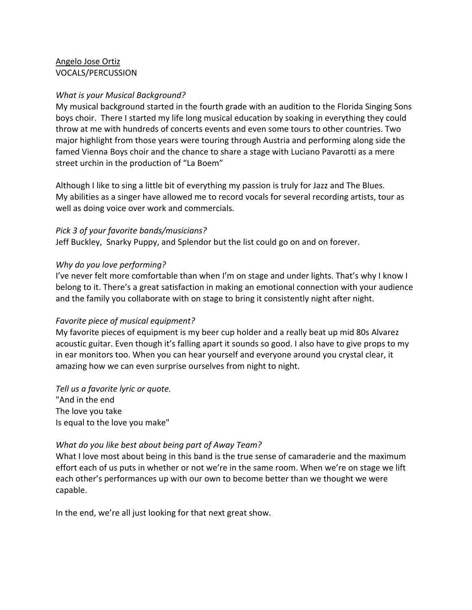## Angelo Jose Ortiz VOCALS/PERCUSSION

#### *What is your Musical Background?*

My musical background started in the fourth grade with an audition to the Florida Singing Sons boys choir. There I started my life long musical education by soaking in everything they could throw at me with hundreds of concerts events and even some tours to other countries. Two major highlight from those years were touring through Austria and performing along side the famed Vienna Boys choir and the chance to share a stage with Luciano Pavarotti as a mere street urchin in the production of "La Boem"

Although I like to sing a little bit of everything my passion is truly for Jazz and The Blues. My abilities as a singer have allowed me to record vocals for several recording artists, tour as well as doing voice over work and commercials.

#### *Pick 3 of your favorite bands/musicians?*

Jeff Buckley, Snarky Puppy, and Splendor but the list could go on and on forever.

#### *Why do you love performing?*

I've never felt more comfortable than when I'm on stage and under lights. That's why I know I belong to it. There's a great satisfaction in making an emotional connection with your audience and the family you collaborate with on stage to bring it consistently night after night.

#### *Favorite piece of musical equipment?*

My favorite pieces of equipment is my beer cup holder and a really beat up mid 80s Alvarez acoustic guitar. Even though it's falling apart it sounds so good. I also have to give props to my in ear monitors too. When you can hear yourself and everyone around you crystal clear, it amazing how we can even surprise ourselves from night to night.

*Tell us a favorite lyric or quote.*  "And in the end The love you take Is equal to the love you make"

#### *What do you like best about being part of Away Team?*

What I love most about being in this band is the true sense of camaraderie and the maximum effort each of us puts in whether or not we're in the same room. When we're on stage we lift each other's performances up with our own to become better than we thought we were capable.

In the end, we're all just looking for that next great show.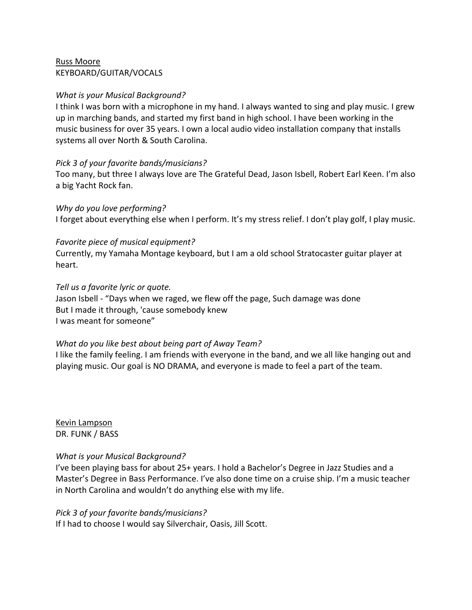## Russ Moore KEYBOARD/GUITAR/VOCALS

## *What is your Musical Background?*

I think I was born with a microphone in my hand. I always wanted to sing and play music. I grew up in marching bands, and started my first band in high school. I have been working in the music business for over 35 years. I own a local audio video installation company that installs systems all over North & South Carolina.

## *Pick 3 of your favorite bands/musicians?*

Too many, but three I always love are The Grateful Dead, Jason Isbell, Robert Earl Keen. I'm also a big Yacht Rock fan.

#### *Why do you love performing?*

I forget about everything else when I perform. It's my stress relief. I don't play golf, I play music.

#### *Favorite piece of musical equipment?*

Currently, my Yamaha Montage keyboard, but I am a old school Stratocaster guitar player at heart.

#### *Tell us a favorite lyric or quote.*

Jason Isbell - "Days when we raged, we flew off the page, Such damage was done But I made it through, 'cause somebody knew I was meant for someone"

# *What do you like best about being part of Away Team?*

I like the family feeling. I am friends with everyone in the band, and we all like hanging out and playing music. Our goal is NO DRAMA, and everyone is made to feel a part of the team.

Kevin Lampson DR. FUNK / BASS

#### *What is your Musical Background?*

I've been playing bass for about 25+ years. I hold a Bachelor's Degree in Jazz Studies and a Master's Degree in Bass Performance. I've also done time on a cruise ship. I'm a music teacher in North Carolina and wouldn't do anything else with my life.

#### *Pick 3 of your favorite bands/musicians?*

If I had to choose I would say Silverchair, Oasis, Jill Scott.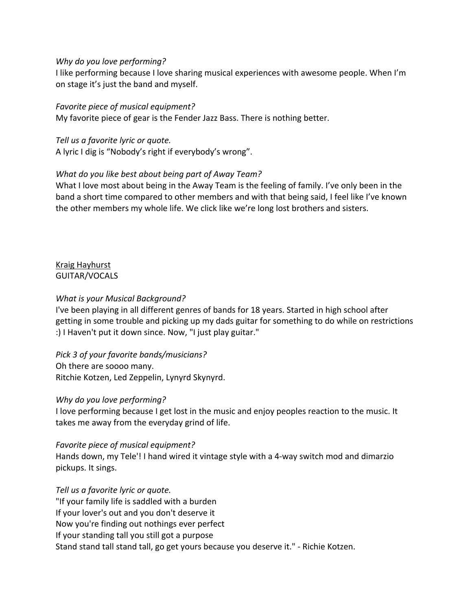#### *Why do you love performing?*

I like performing because I love sharing musical experiences with awesome people. When I'm on stage it's just the band and myself.

#### *Favorite piece of musical equipment?*

My favorite piece of gear is the Fender Jazz Bass. There is nothing better.

*Tell us a favorite lyric or quote.* A lyric I dig is "Nobody's right if everybody's wrong".

#### *What do you like best about being part of Away Team?*

What I love most about being in the Away Team is the feeling of family. I've only been in the band a short time compared to other members and with that being said, I feel like I've known the other members my whole life. We click like we're long lost brothers and sisters.

## Kraig Hayhurst GUITAR/VOCALS

#### *What is your Musical Background?*

I've been playing in all different genres of bands for 18 years. Started in high school after getting in some trouble and picking up my dads guitar for something to do while on restrictions :) I Haven't put it down since. Now, "I just play guitar."

# *Pick 3 of your favorite bands/musicians?*

Oh there are soooo many. Ritchie Kotzen, Led Zeppelin, Lynyrd Skynyrd.

#### *Why do you love performing?*

I love performing because I get lost in the music and enjoy peoples reaction to the music. It takes me away from the everyday grind of life.

#### *Favorite piece of musical equipment?*

Hands down, my Tele'! I hand wired it vintage style with a 4-way switch mod and dimarzio pickups. It sings.

#### *Tell us a favorite lyric or quote.*

"If your family life is saddled with a burden If your lover's out and you don't deserve it Now you're finding out nothings ever perfect If your standing tall you still got a purpose Stand stand tall stand tall, go get yours because you deserve it." - Richie Kotzen.